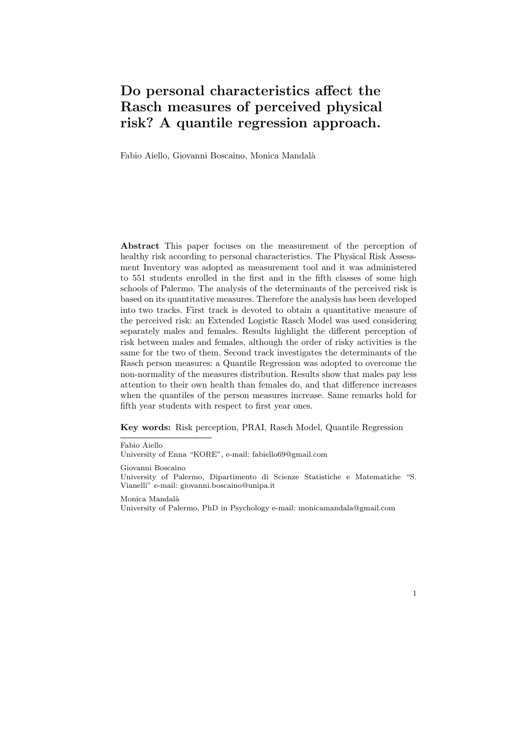# **Do personal characteristics affect the Rasch measures of perceived physical risk? A quantile regression approach.**

Fabio Aiello, Giovanni Boscaino, Monica Mandal`a

**Abstract** This paper focuses on the measurement of the perception of healthy risk according to personal characteristics. The Physical Risk Assessment Inventory was adopted as measurement tool and it was administered to 551 students enrolled in the first and in the fifth classes of some high schools of Palermo. The analysis of the determinants of the perceived risk is based on its quantitative measures. Therefore the analysis has been developed into two tracks. First track is devoted to obtain a quantitative measure of the perceived risk: an Extended Logistic Rasch Model was used considering separately males and females. Results highlight the different perception of risk between males and females, although the order of risky activities is the same for the two of them. Second track investigates the determinants of the Rasch person measures: a Quantile Regression was adopted to overcome the non-normality of the measures distribution. Results show that males pay less attention to their own health than females do, and that difference increases when the quantiles of the person measures increase. Same remarks hold for fifth year students with respect to first year ones.

**Key words:** Risk perception, PRAI, Rasch Model, Quantile Regression

University of Enna "KORE", e-mail: fabiello69@gmail.com

Giovanni Boscaino

1

Monica Mandalà

University of Palermo, PhD in Psychology e-mail: monicamandala@gmail.com

Fabio Aiello

University of Palermo, Dipartimento di Scienze Statistiche e Matematiche "S. Vianelli" e-mail: giovanni.boscaino@unipa.it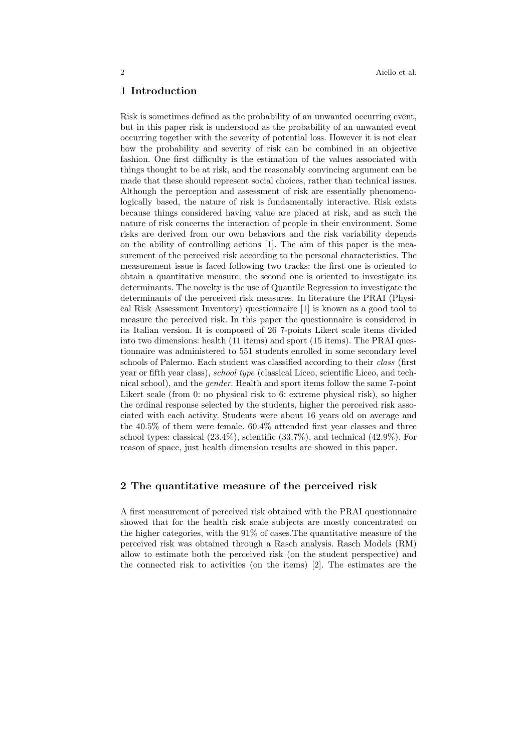## **1 Introduction**

Risk is sometimes defined as the probability of an unwanted occurring event, but in this paper risk is understood as the probability of an unwanted event occurring together with the severity of potential loss. However it is not clear how the probability and severity of risk can be combined in an objective fashion. One first difficulty is the estimation of the values associated with things thought to be at risk, and the reasonably convincing argument can be made that these should represent social choices, rather than technical issues. Although the perception and assessment of risk are essentially phenomenologically based, the nature of risk is fundamentally interactive. Risk exists because things considered having value are placed at risk, and as such the nature of risk concerns the interaction of people in their environment. Some risks are derived from our own behaviors and the risk variability depends on the ability of controlling actions [1]. The aim of this paper is the measurement of the perceived risk according to the personal characteristics. The measurement issue is faced following two tracks: the first one is oriented to obtain a quantitative measure; the second one is oriented to investigate its determinants. The novelty is the use of Quantile Regression to investigate the determinants of the perceived risk measures. In literature the PRAI (Physical Risk Assessment Inventory) questionnaire [1] is known as a good tool to measure the perceived risk. In this paper the questionnaire is considered in its Italian version. It is composed of 26 7-points Likert scale items divided into two dimensions: health (11 items) and sport (15 items). The PRAI questionnaire was administered to 551 students enrolled in some secondary level schools of Palermo. Each student was classified according to their *class* (first year or fifth year class), *school type* (classical Liceo, scientific Liceo, and technical school), and the *gender*. Health and sport items follow the same 7-point Likert scale (from 0: no physical risk to 6: extreme physical risk), so higher the ordinal response selected by the students, higher the perceived risk associated with each activity. Students were about 16 years old on average and the 40.5% of them were female. 60.4% attended first year classes and three school types: classical (23.4%), scientific (33.7%), and technical (42.9%). For reason of space, just health dimension results are showed in this paper.

#### **2 The quantitative measure of the perceived risk**

A first measurement of perceived risk obtained with the PRAI questionnaire showed that for the health risk scale subjects are mostly concentrated on the higher categories, with the  $91\%$  of cases. The quantitative measure of the perceived risk was obtained through a Rasch analysis. Rasch Models (RM) allow to estimate both the perceived risk (on the student perspective) and the connected risk to activities (on the items) [2]. The estimates are the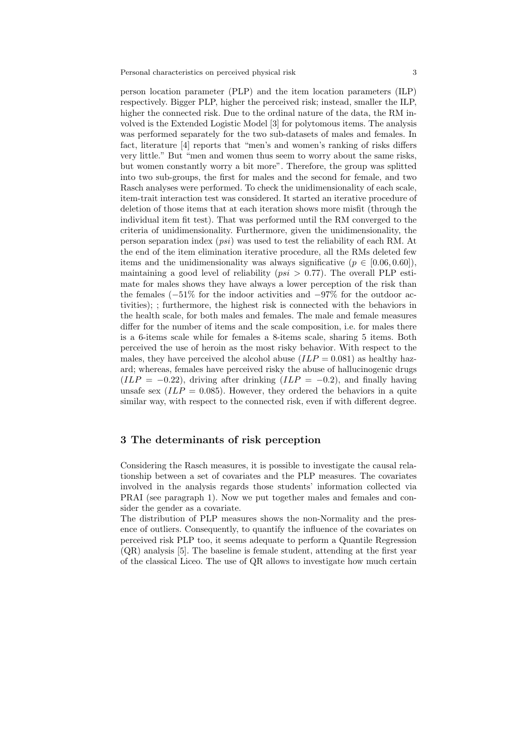person location parameter (PLP) and the item location parameters (ILP) respectively. Bigger PLP, higher the perceived risk; instead, smaller the ILP, higher the connected risk. Due to the ordinal nature of the data, the RM involved is the Extended Logistic Model [3] for polytomous items. The analysis was performed separately for the two sub-datasets of males and females. In fact, literature [4] reports that "men's and women's ranking of risks differs very little." But "men and women thus seem to worry about the same risks, but women constantly worry a bit more". Therefore, the group was splitted into two sub-groups, the first for males and the second for female, and two Rasch analyses were performed. To check the unidimensionality of each scale, item-trait interaction test was considered. It started an iterative procedure of deletion of those items that at each iteration shows more misfit (through the individual item fit test). That was performed until the RM converged to the criteria of unidimensionality. Furthermore, given the unidimensionality, the person separation index (*psi*) was used to test the reliability of each RM. At the end of the item elimination iterative procedure, all the RMs deleted few items and the unidimensionality was always significative  $(p \in [0.06, 0.60])$ , maintaining a good level of reliability (*psi >* 0*.*77). The overall PLP estimate for males shows they have always a lower perception of the risk than the females (*−*51% for the indoor activities and *−*97% for the outdoor activities); ; furthermore, the highest risk is connected with the behaviors in the health scale, for both males and females. The male and female measures differ for the number of items and the scale composition, i.e. for males there is a 6-items scale while for females a 8-items scale, sharing 5 items. Both perceived the use of heroin as the most risky behavior. With respect to the males, they have perceived the alcohol abuse  $(ILP = 0.081)$  as healthy hazard; whereas, females have perceived risky the abuse of hallucinogenic drugs  $(ILP = -0.22)$ , driving after drinking  $(ILP = -0.2)$ , and finally having unsafe sex  $(ILP = 0.085)$ . However, they ordered the behaviors in a quite similar way, with respect to the connected risk, even if with different degree.

## **3 The determinants of risk perception**

Considering the Rasch measures, it is possible to investigate the causal relationship between a set of covariates and the PLP measures. The covariates involved in the analysis regards those students' information collected via PRAI (see paragraph 1). Now we put together males and females and consider the gender as a covariate.

The distribution of PLP measures shows the non-Normality and the presence of outliers. Consequently, to quantify the influence of the covariates on perceived risk PLP too, it seems adequate to perform a Quantile Regression (QR) analysis [5]. The baseline is female student, attending at the first year of the classical Liceo. The use of QR allows to investigate how much certain